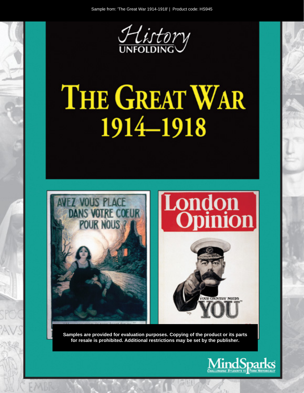

# THE GREAT WAR 1914-1918



Samples are provided for evaluation purposes. Copying of the product or its parts for resale is prohibited. Additional restrictions may be set by the publisher.

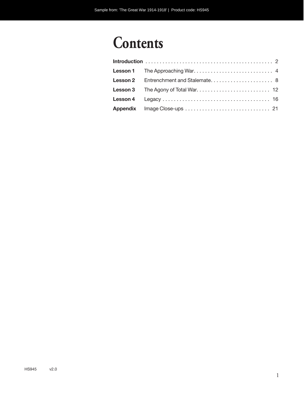# **Contents**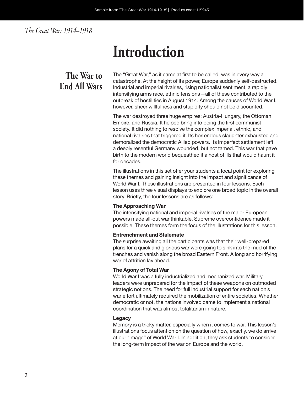*The Great War: 1914–1918*

# **Introduction**

## **The War to End All Wars**

The "Great War," as it came at first to be called, was in every way a catastrophe. At the height of its power, Europe suddenly self-destructed. Industrial and imperial rivalries, rising nationalist sentiment, a rapidly intensifying arms race, ethnic tensions—all of these contributed to the outbreak of hostilities in August 1914. Among the causes of World War I, however, sheer willfulness and stupidity should not be discounted.

The war destroyed three huge empires: Austria-Hungary, the Ottoman Empire, and Russia. It helped bring into being the first communist society. It did nothing to resolve the complex imperial, ethnic, and national rivalries that triggered it. Its horrendous slaughter exhausted and demoralized the democratic Allied powers. Its imperfect settlement left a deeply resentful Germany wounded, but not tamed. This war that gave birth to the modern world bequeathed it a host of ills that would haunt it for decades.

The illustrations in this set offer your students a focal point for exploring these themes and gaining insight into the impact and significance of World War I. These illustrations are presented in four lessons. Each lesson uses three visual displays to explore one broad topic in the overall story. Briefly, the four lessons are as follows:

#### **The Approaching War**

The intensifying national and imperial rivalries of the major European powers made all-out war thinkable. Supreme overconfidence made it possible. These themes form the focus of the illustrations for this lesson.

#### **Entrenchment and Stalemate**

The surprise awaiting all the participants was that their well-prepared plans for a quick and glorious war were going to sink into the mud of the trenches and vanish along the broad Eastern Front. A long and horrifying war of attrition lay ahead.

#### **The Agony of Total War**

World War I was a fully industrialized and mechanized war. Military leaders were unprepared for the impact of these weapons on outmoded strategic notions. The need for full industrial support for each nation's war effort ultimately required the mobilization of entire societies. Whether democratic or not, the nations involved came to implement a national coordination that was almost totalitarian in nature.

#### **Legacy**

Memory is a tricky matter, especially when it comes to war. This lesson's illustrations focus attention on the question of how, exactly, we do arrive at our "image" of World War I. In addition, they ask students to consider the long-term impact of the war on Europe and the world.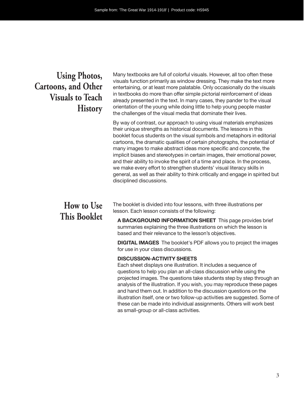### **Using Photos, Cartoons, and Other Visuals to Teach History**

Many textbooks are full of colorful visuals. However, all too often these visuals function primarily as window dressing. They make the text more entertaining, or at least more palatable. Only occasionally do the visuals in textbooks do more than offer simple pictorial reinforcement of ideas already presented in the text. In many cases, they pander to the visual orientation of the young while doing little to help young people master the challenges of the visual media that dominate their lives.

By way of contrast, our approach to using visual materials emphasizes their unique strengths as historical documents. The lessons in this booklet focus students on the visual symbols and metaphors in editorial cartoons, the dramatic qualities of certain photographs, the potential of many images to make abstract ideas more specific and concrete, the implicit biases and stereotypes in certain images, their emotional power, and their ability to invoke the spirit of a time and place. In the process, we make every effort to strengthen students' visual literacy skills in general, as well as their ability to think critically and engage in spirited but disciplined discussions.

### **How to Use This Booklet**

The booklet is divided into four lessons, with three illustrations per lesson. Each lesson consists of the following:

**A BACKGROUND INFORMATION SHEET** This page provides brief summaries explaining the three illustrations on which the lesson is based and their relevance to the lesson's objectives.

**DIGITAL IMAGES** The booklet's PDF allows you to project the images for use in your class discussions.

#### **DISCUSSION-ACTIVITY SHEETS**

Each sheet displays one illustration. It includes a sequence of questions to help you plan an all-class discussion while using the projected images. The questions take students step by step through an analysis of the illustration. If you wish, you may reproduce these pages and hand them out. In addition to the discussion questions on the illustration itself, one or two follow-up activities are suggested. Some of these can be made into individual assignments. Others will work best as small-group or all- class activities.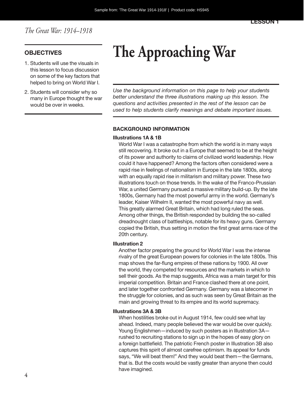- 1. Students will use the visuals in this lesson to focus discussion on some of the key factors that helped to bring on World War I.
- 2. Students will consider why so many in Europe thought the war would be over in weeks.

# **OBJECTIVES The Approaching War**

*Use the background information on this page to help your students better understand the three illustrations making up this lesson. The questions and activities presented in the rest of the lesson can be used to help students clarify meanings and debate important issues.*

#### **BACKGROUND INFORMATION**

#### **Illustrations 1A & 1B**

World War I was a catastrophe from which the world is in many ways still recovering. It broke out in a Europe that seemed to be at the height of its power and authority to claims of civilized world leadership. How could it have happened? Among the factors often considered were a rapid rise in feelings of nationalism in Europe in the late 1800s, along with an equally rapid rise in militarism and military power. These two illustrations touch on those trends. In the wake of the Franco-Prussian War, a united Germany pursued a massive military build-up. By the late 1800s, Germany had the most powerful army in the world. Germany's leader, Kaiser Wilhelm II, wanted the most powerful navy as well. This greatly alarmed Great Britain, which had long ruled the seas. Among other things, the British responded by building the so-called dreadnought class of battleships, notable for its heavy guns. Germany copied the British, thus setting in motion the first great arms race of the 20th century.

#### **Illustration 2**

Another factor preparing the ground for World War I was the intense rivalry of the great European powers for colonies in the late 1800s. This map shows the far-flung empires of these nations by 1900. All over the world, they competed for resources and the markets in which to sell their goods. As the map suggests, Africa was a main target for this imperial competition. Britain and France clashed there at one point, and later together confronted Germany. Germany was a latecomer in the struggle for colonies, and as such was seen by Great Britain as the main and growing threat to its empire and its world supremacy.

#### **Illustrations 3A & 3B**

When hostilities broke out in August 1914, few could see what lay ahead. Indeed, many people believed the war would be over quickly. Young Englishmen—induced by such posters as in Illustration 3A rushed to recruiting stations to sign up in the hopes of easy glory on a foreign battlefield. The patriotic French poster in Illustration 3B also captures this spirit of almost carefree optimism. Its appeal for funds says, "We will beat them!" And they would beat them—the Germans, that is. But the costs would be vastly greater than anyone then could have imagined.